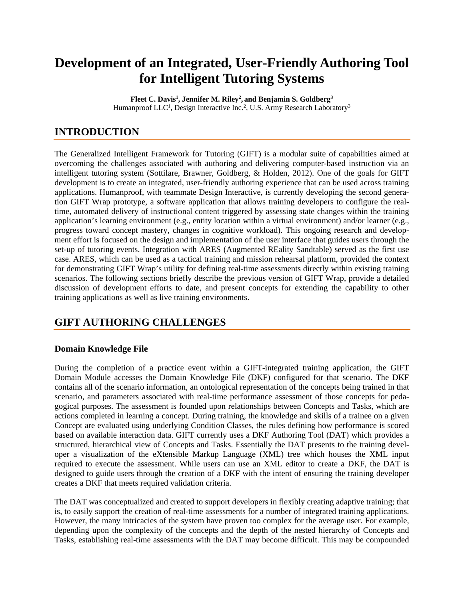# **Development of an Integrated, User-Friendly Authoring Tool for Intelligent Tutoring Systems**

**Fleet C. Davis1 , Jennifer M. Riley2 , and Benjamin S. Goldberg3** Humanproof LLC<sup>1</sup>, Design Interactive Inc.<sup>2</sup>, U.S. Army Research Laboratory<sup>3</sup>

# **INTRODUCTION**

The Generalized Intelligent Framework for Tutoring (GIFT) is a modular suite of capabilities aimed at overcoming the challenges associated with authoring and delivering computer-based instruction via an intelligent tutoring system (Sottilare, Brawner, Goldberg, & Holden, 2012). One of the goals for GIFT development is to create an integrated, user-friendly authoring experience that can be used across training applications. Humanproof, with teammate Design Interactive, is currently developing the second generation GIFT Wrap prototype, a software application that allows training developers to configure the realtime, automated delivery of instructional content triggered by assessing state changes within the training application's learning environment (e.g., entity location within a virtual environment) and/or learner (e.g., progress toward concept mastery, changes in cognitive workload). This ongoing research and development effort is focused on the design and implementation of the user interface that guides users through the set-up of tutoring events. Integration with ARES (Augmented REality Sandtable) served as the first use case. ARES, which can be used as a tactical training and mission rehearsal platform, provided the context for demonstrating GIFT Wrap's utility for defining real-time assessments directly within existing training scenarios. The following sections briefly describe the previous version of GIFT Wrap, provide a detailed discussion of development efforts to date, and present concepts for extending the capability to other training applications as well as live training environments.

# **GIFT AUTHORING CHALLENGES**

### **Domain Knowledge File**

During the completion of a practice event within a GIFT-integrated training application, the GIFT Domain Module accesses the Domain Knowledge File (DKF) configured for that scenario. The DKF contains all of the scenario information, an ontological representation of the concepts being trained in that scenario, and parameters associated with real-time performance assessment of those concepts for pedagogical purposes. The assessment is founded upon relationships between Concepts and Tasks, which are actions completed in learning a concept. During training, the knowledge and skills of a trainee on a given Concept are evaluated using underlying Condition Classes, the rules defining how performance is scored based on available interaction data. GIFT currently uses a DKF Authoring Tool (DAT) which provides a structured, hierarchical view of Concepts and Tasks. Essentially the DAT presents to the training developer a visualization of the eXtensible Markup Language (XML) tree which houses the XML input required to execute the assessment. While users can use an XML editor to create a DKF, the DAT is designed to guide users through the creation of a DKF with the intent of ensuring the training developer creates a DKF that meets required validation criteria.

The DAT was conceptualized and created to support developers in flexibly creating adaptive training; that is, to easily support the creation of real-time assessments for a number of integrated training applications. However, the many intricacies of the system have proven too complex for the average user. For example, depending upon the complexity of the concepts and the depth of the nested hierarchy of Concepts and Tasks, establishing real-time assessments with the DAT may become difficult. This may be compounded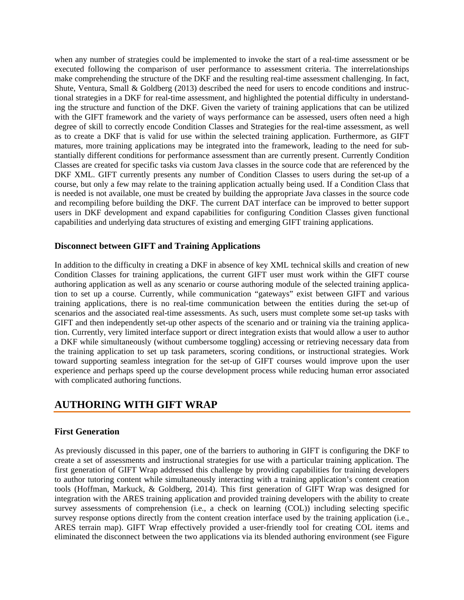when any number of strategies could be implemented to invoke the start of a real-time assessment or be executed following the comparison of user performance to assessment criteria. The interrelationships make comprehending the structure of the DKF and the resulting real-time assessment challenging. In fact, Shute, Ventura, Small & Goldberg (2013) described the need for users to encode conditions and instructional strategies in a DKF for real-time assessment, and highlighted the potential difficulty in understanding the structure and function of the DKF. Given the variety of training applications that can be utilized with the GIFT framework and the variety of ways performance can be assessed, users often need a high degree of skill to correctly encode Condition Classes and Strategies for the real-time assessment, as well as to create a DKF that is valid for use within the selected training application. Furthermore, as GIFT matures, more training applications may be integrated into the framework, leading to the need for substantially different conditions for performance assessment than are currently present. Currently Condition Classes are created for specific tasks via custom Java classes in the source code that are referenced by the DKF XML. GIFT currently presents any number of Condition Classes to users during the set-up of a course, but only a few may relate to the training application actually being used. If a Condition Class that is needed is not available, one must be created by building the appropriate Java classes in the source code and recompiling before building the DKF. The current DAT interface can be improved to better support users in DKF development and expand capabilities for configuring Condition Classes given functional capabilities and underlying data structures of existing and emerging GIFT training applications.

#### **Disconnect between GIFT and Training Applications**

In addition to the difficulty in creating a DKF in absence of key XML technical skills and creation of new Condition Classes for training applications, the current GIFT user must work within the GIFT course authoring application as well as any scenario or course authoring module of the selected training application to set up a course. Currently, while communication "gateways" exist between GIFT and various training applications, there is no real-time communication between the entities during the set-up of scenarios and the associated real-time assessments. As such, users must complete some set-up tasks with GIFT and then independently set-up other aspects of the scenario and or training via the training application. Currently, very limited interface support or direct integration exists that would allow a user to author a DKF while simultaneously (without cumbersome toggling) accessing or retrieving necessary data from the training application to set up task parameters, scoring conditions, or instructional strategies. Work toward supporting seamless integration for the set-up of GIFT courses would improve upon the user experience and perhaps speed up the course development process while reducing human error associated with complicated authoring functions.

# **AUTHORING WITH GIFT WRAP**

#### **First Generation**

As previously discussed in this paper, one of the barriers to authoring in GIFT is configuring the DKF to create a set of assessments and instructional strategies for use with a particular training application. The first generation of GIFT Wrap addressed this challenge by providing capabilities for training developers to author tutoring content while simultaneously interacting with a training application's content creation tools (Hoffman, Markuck, & Goldberg, 2014). This first generation of GIFT Wrap was designed for integration with the ARES training application and provided training developers with the ability to create survey assessments of comprehension (i.e., a check on learning (COL)) including selecting specific survey response options directly from the content creation interface used by the training application (i.e., ARES terrain map). GIFT Wrap effectively provided a user-friendly tool for creating COL items and eliminated the disconnect between the two applications via its blended authoring environment (see Figure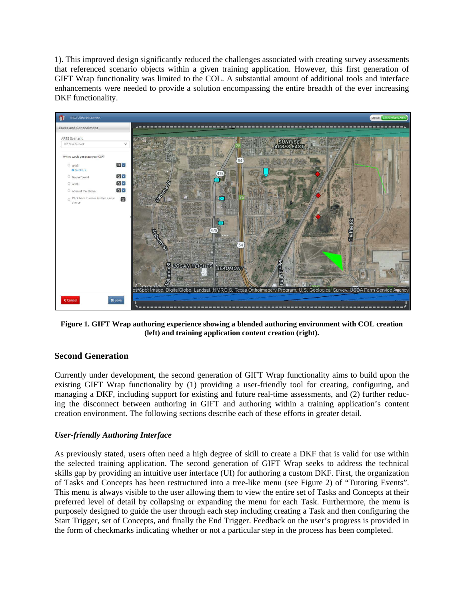1). This improved design significantly reduced the challenges associated with creating survey assessments that referenced scenario objects within a given training application. However, this first generation of GIFT Wrap functionality was limited to the COL. A substantial amount of additional tools and interface enhancements were needed to provide a solution encompassing the entire breadth of the ever increasing DKF functionality.



**Figure 1. GIFT Wrap authoring experience showing a blended authoring environment with COL creation (left) and training application content creation (right).**

#### **Second Generation**

Currently under development, the second generation of GIFT Wrap functionality aims to build upon the existing GIFT Wrap functionality by (1) providing a user-friendly tool for creating, configuring, and managing a DKF, including support for existing and future real-time assessments, and (2) further reducing the disconnect between authoring in GIFT and authoring within a training application's content creation environment. The following sections describe each of these efforts in greater detail.

#### *User-friendly Authoring Interface*

As previously stated, users often need a high degree of skill to create a DKF that is valid for use within the selected training application. The second generation of GIFT Wrap seeks to address the technical skills gap by providing an intuitive user interface (UI) for authoring a custom DKF. First, the organization of Tasks and Concepts has been restructured into a tree-like menu (see Figure 2) of "Tutoring Events". This menu is always visible to the user allowing them to view the entire set of Tasks and Concepts at their preferred level of detail by collapsing or expanding the menu for each Task. Furthermore, the menu is purposely designed to guide the user through each step including creating a Task and then configuring the Start Trigger, set of Concepts, and finally the End Trigger. Feedback on the user's progress is provided in the form of checkmarks indicating whether or not a particular step in the process has been completed.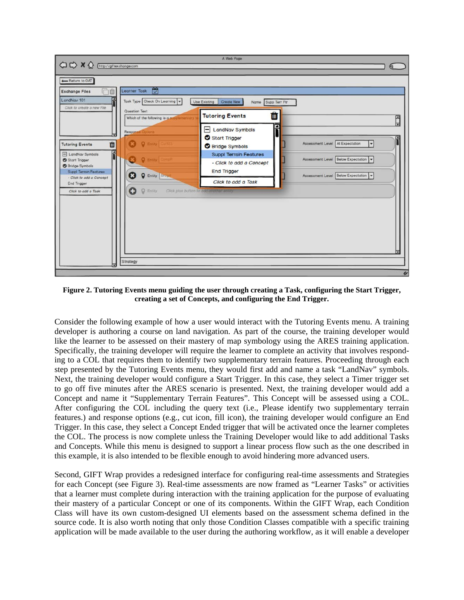

**Figure 2. Tutoring Events menu guiding the user through creating a Task, configuring the Start Trigger, creating a set of Concepts, and configuring the End Trigger.**

Consider the following example of how a user would interact with the Tutoring Events menu. A training developer is authoring a course on land navigation. As part of the course, the training developer would like the learner to be assessed on their mastery of map symbology using the ARES training application. Specifically, the training developer will require the learner to complete an activity that involves responding to a COL that requires them to identify two supplementary terrain features. Proceeding through each step presented by the Tutoring Events menu, they would first add and name a task "LandNav" symbols. Next, the training developer would configure a Start Trigger. In this case, they select a Timer trigger set to go off five minutes after the ARES scenario is presented. Next, the training developer would add a Concept and name it "Supplementary Terrain Features". This Concept will be assessed using a COL. After configuring the COL including the query text (i.e., Please identify two supplementary terrain features.) and response options (e.g., cut icon, fill icon), the training developer would configure an End Trigger. In this case, they select a Concept Ended trigger that will be activated once the learner completes the COL. The process is now complete unless the Training Developer would like to add additional Tasks and Concepts. While this menu is designed to support a linear process flow such as the one described in this example, it is also intended to be flexible enough to avoid hindering more advanced users.

Second, GIFT Wrap provides a redesigned interface for configuring real-time assessments and Strategies for each Concept (see Figure 3). Real-time assessments are now framed as "Learner Tasks" or activities that a learner must complete during interaction with the training application for the purpose of evaluating their mastery of a particular Concept or one of its components. Within the GIFT Wrap, each Condition Class will have its own custom-designed UI elements based on the assessment schema defined in the source code. It is also worth noting that only those Condition Classes compatible with a specific training application will be made available to the user during the authoring workflow, as it will enable a developer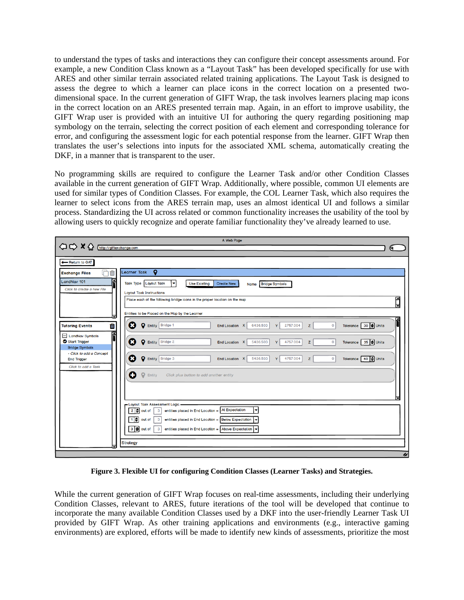to understand the types of tasks and interactions they can configure their concept assessments around. For example, a new Condition Class known as a "Layout Task" has been developed specifically for use with ARES and other similar terrain associated related training applications. The Layout Task is designed to assess the degree to which a learner can place icons in the correct location on a presented twodimensional space. In the current generation of GIFT Wrap, the task involves learners placing map icons in the correct location on an ARES presented terrain map. Again, in an effort to improve usability, the GIFT Wrap user is provided with an intuitive UI for authoring the query regarding positioning map symbology on the terrain, selecting the correct position of each element and corresponding tolerance for error, and configuring the assessment logic for each potential response from the learner. GIFT Wrap then translates the user's selections into inputs for the associated XML schema, automatically creating the DKF, in a manner that is transparent to the user.

No programming skills are required to configure the Learner Task and/or other Condition Classes available in the current generation of GIFT Wrap. Additionally, where possible, common UI elements are used for similar types of Condition Classes. For example, the COL Learner Task, which also requires the learner to select icons from the ARES terrain map, uses an almost identical UI and follows a similar process. Standardizing the UI across related or common functionality increases the usability of the tool by allowing users to quickly recognize and operate familiar functionality they've already learned to use.



**Figure 3. Flexible UI for configuring Condition Classes (Learner Tasks) and Strategies.**

While the current generation of GIFT Wrap focuses on real-time assessments, including their underlying Condition Classes, relevant to ARES, future iterations of the tool will be developed that continue to incorporate the many available Condition Classes used by a DKF into the user-friendly Learner Task UI provided by GIFT Wrap. As other training applications and environments (e.g., interactive gaming environments) are explored, efforts will be made to identify new kinds of assessments, prioritize the most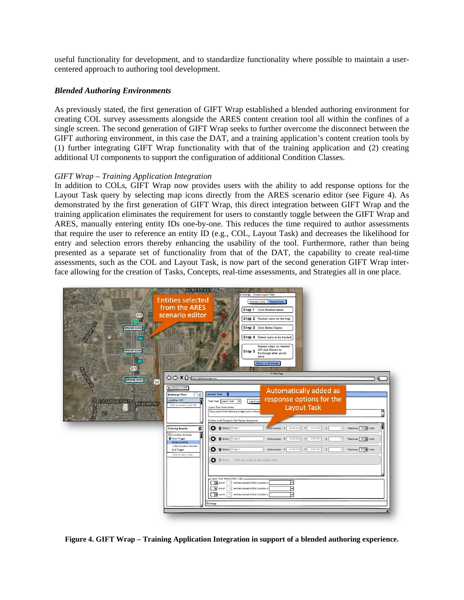useful functionality for development, and to standardize functionality where possible to maintain a usercentered approach to authoring tool development.

#### *Blended Authoring Environments*

As previously stated, the first generation of GIFT Wrap established a blended authoring environment for creating COL survey assessments alongside the ARES content creation tool all within the confines of a single screen. The second generation of GIFT Wrap seeks to further overcome the disconnect between the GIFT authoring environment, in this case the DAT, and a training application's content creation tools by (1) further integrating GIFT Wrap functionality with that of the training application and (2) creating additional UI components to support the configuration of additional Condition Classes.

#### *GIFT Wrap – Training Application Integration*

In addition to COLs, GIFT Wrap now provides users with the ability to add response options for the Layout Task query by selecting map icons directly from the ARES scenario editor (see Figure 4). As demonstrated by the first generation of GIFT Wrap, this direct integration between GIFT Wrap and the training application eliminates the requirement for users to constantly toggle between the GIFT Wrap and ARES, manually entering entity IDs one-by-one. This reduces the time required to author assessments that require the user to reference an entity ID (e.g., COL, Layout Task) and decreases the likelihood for entry and selection errors thereby enhancing the usability of the tool. Furthermore, rather than being presented as a separate set of functionality from that of the DAT, the capability to create real-time assessments, such as the COL and Layout Task, is now part of the second generation GIFT Wrap interface allowing for the creation of Tasks, Concepts, real-time assessments, and Strategies all in one place.



**Figure 4. GIFT Wrap – Training Application Integration in support of a blended authoring experience.**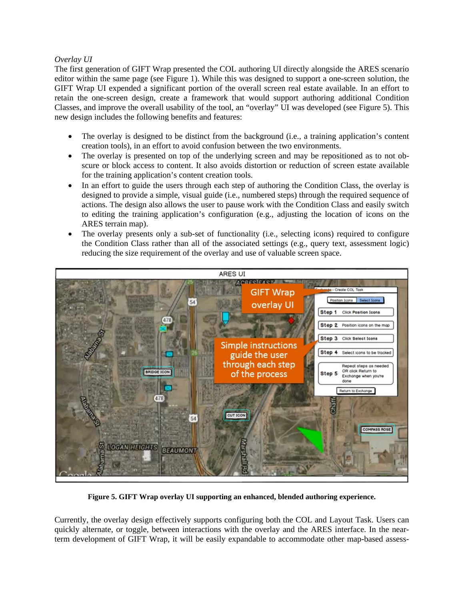#### *Overlay UI*

The first generation of GIFT Wrap presented the COL authoring UI directly alongside the ARES scenario editor within the same page (see Figure 1). While this was designed to support a one-screen solution, the GIFT Wrap UI expended a significant portion of the overall screen real estate available. In an effort to retain the one-screen design, create a framework that would support authoring additional Condition Classes, and improve the overall usability of the tool, an "overlay" UI was developed (see Figure 5). This new design includes the following benefits and features:

- The overlay is designed to be distinct from the background (i.e., a training application's content creation tools), in an effort to avoid confusion between the two environments.
- The overlay is presented on top of the underlying screen and may be repositioned as to not obscure or block access to content. It also avoids distortion or reduction of screen estate available for the training application's content creation tools.
- In an effort to guide the users through each step of authoring the Condition Class, the overlay is designed to provide a simple, visual guide (i.e., numbered steps) through the required sequence of actions. The design also allows the user to pause work with the Condition Class and easily switch to editing the training application's configuration (e.g., adjusting the location of icons on the ARES terrain map).
- The overlay presents only a sub-set of functionality (i.e., selecting icons) required to configure the Condition Class rather than all of the associated settings (e.g., query text, assessment logic) reducing the size requirement of the overlay and use of valuable screen space.



**Figure 5. GIFT Wrap overlay UI supporting an enhanced, blended authoring experience.**

Currently, the overlay design effectively supports configuring both the COL and Layout Task. Users can quickly alternate, or toggle, between interactions with the overlay and the ARES interface. In the nearterm development of GIFT Wrap, it will be easily expandable to accommodate other map-based assess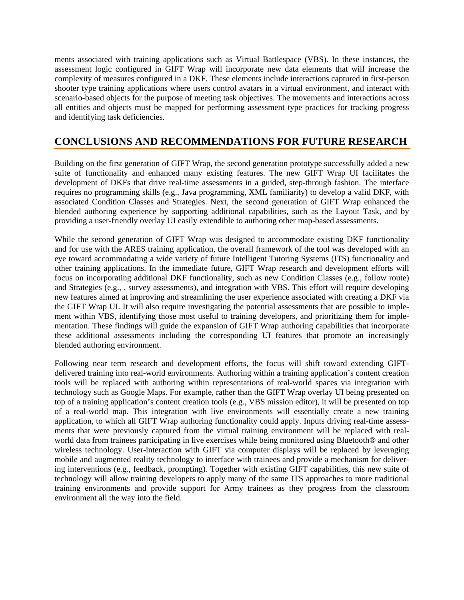ments associated with training applications such as Virtual Battlespace (VBS). In these instances, the assessment logic configured in GIFT Wrap will incorporate new data elements that will increase the complexity of measures configured in a DKF. These elements include interactions captured in first-person shooter type training applications where users control avatars in a virtual environment, and interact with scenario-based objects for the purpose of meeting task objectives. The movements and interactions across all entities and objects must be mapped for performing assessment type practices for tracking progress and identifying task deficiencies.

# **CONCLUSIONS AND RECOMMENDATIONS FOR FUTURE RESEARCH**

Building on the first generation of GIFT Wrap, the second generation prototype successfully added a new suite of functionality and enhanced many existing features. The new GIFT Wrap UI facilitates the development of DKFs that drive real-time assessments in a guided, step-through fashion. The interface requires no programming skills (e.g., Java programming, XML familiarity) to develop a valid DKF, with associated Condition Classes and Strategies. Next, the second generation of GIFT Wrap enhanced the blended authoring experience by supporting additional capabilities, such as the Layout Task, and by providing a user-friendly overlay UI easily extendible to authoring other map-based assessments.

While the second generation of GIFT Wrap was designed to accommodate existing DKF functionality and for use with the ARES training application, the overall framework of the tool was developed with an eye toward accommodating a wide variety of future Intelligent Tutoring Systems (ITS) functionality and other training applications. In the immediate future, GIFT Wrap research and development efforts will focus on incorporating additional DKF functionality, such as new Condition Classes (e.g., follow route) and Strategies (e.g., , survey assessments), and integration with VBS. This effort will require developing new features aimed at improving and streamlining the user experience associated with creating a DKF via the GIFT Wrap UI. It will also require investigating the potential assessments that are possible to implement within VBS, identifying those most useful to training developers, and prioritizing them for implementation. These findings will guide the expansion of GIFT Wrap authoring capabilities that incorporate these additional assessments including the corresponding UI features that promote an increasingly blended authoring environment.

Following near term research and development efforts, the focus will shift toward extending GIFTdelivered training into real-world environments. Authoring within a training application's content creation tools will be replaced with authoring within representations of real-world spaces via integration with technology such as Google Maps. For example, rather than the GIFT Wrap overlay UI being presented on top of a training application's content creation tools (e.g., VBS mission editor), it will be presented on top of a real-world map. This integration with live environments will essentially create a new training application, to which all GIFT Wrap authoring functionality could apply. Inputs driving real-time assessments that were previously captured from the virtual training environment will be replaced with realworld data from trainees participating in live exercises while being monitored using Bluetooth® and other wireless technology. User-interaction with GIFT via computer displays will be replaced by leveraging mobile and augmented reality technology to interface with trainees and provide a mechanism for delivering interventions (e.g., feedback, prompting). Together with existing GIFT capabilities, this new suite of technology will allow training developers to apply many of the same ITS approaches to more traditional training environments and provide support for Army trainees as they progress from the classroom environment all the way into the field.